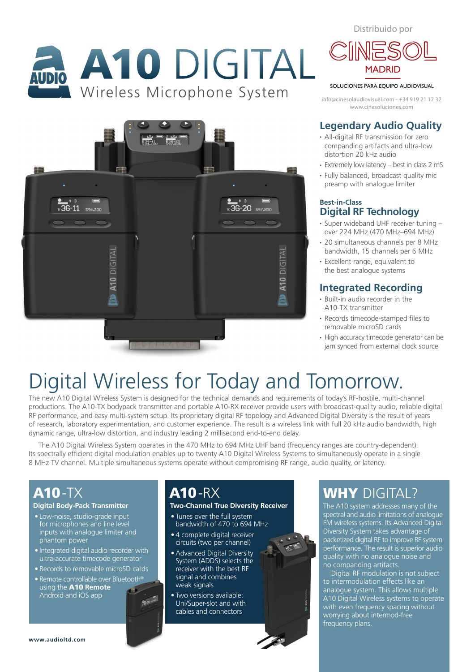Distribuido por

# A10 DIGITAL





#### SOLUCIONES PARA EQUIPO AUDIOVISUAL

www.cinesoluciones.com info@cinesolaudiovisual.com - +34 919 21 17 32

#### **Legendary Audio Quality**

- All-digital RF transmission for zero companding artifacts and ultra-low distortion 20 kHz audio
- Extremely low latency best in class 2 mS
- Fully balanced, broadcast quality mic preamp with analogue limiter

#### **Best-in-Class Digital RF Technology**

- Super wideband UHF receiver tuning over 224 MHz (470 MHz–694 MHz)
- 20 simultaneous channels per 8 MHz bandwidth, 15 channels per 6 MHz
- Excellent range, equivalent to the best analogue systems

#### **Integrated Recording**

- Built-in audio recorder in the A10-TX transmitter
- Records timecode-stamped files to removable microSD cards
- High accuracy timecode generator can be jam synced from external clock source

## Digital Wireless for Today and Tomorrow.

The new A10 Digital Wireless System is designed for the technical demands and requirements of today's RF-hostile, multi-channel productions. The A10-TX bodypack transmitter and portable A10-RX receiver provide users with broadcast-quality audio, reliable digital RF performance, and easy multi-system setup. Its proprietary digital RF topology and Advanced Digital Diversity is the result of years of research, laboratory experimentation, and customer experience. The result is a wireless link with full 20 kHz audio bandwidth, high dynamic range, ultra-low distortion, and industry leading 2 millisecond end-to-end delay.

The A10 Digital Wireless System operates in the 470 MHz to 694 MHz UHF band (frequency ranges are country-dependent). Its spectrally efficient digital modulation enables up to twenty A10 Digital Wireless Systems to simultaneously operate in a single 8 MHz TV channel. Multiple simultaneous systems operate without compromising RF range, audio quality, or latency.

## A10-TX

#### **Digital Body-Pack Transmitter**

- Low-noise, studio-grade input for microphones and line level inputs with analogue limiter and phantom power
- Integrated digital audio recorder with ultra-accurate timecode generator
- Records to removable microSD cards
- Remote controllable over Bluetooth®

 $\frac{1}{36}$  20

using the A10 **Remote**  Android and iOS app

## A10-RX

#### **Two-Channel True Diversity Receiver**

- Tunes over the full system bandwidth of 470 to 694 MHz
- 4 complete digital receiver circuits (two per channel)
- •Advanced Digital Diversity System (ADDS) selects the receiver with the best RF signal and combines weak signals
- Two versions available: Uni/Super-slot and with cables and connectors

## WHY DIGITAL?

The A10 system addresses many of the spectral and audio limitations of analogue FM wireless systems. Its Advanced Digital Diversity System takes advantage of packetized digital RF to improve RF system performance. The result is superior audio quality with no analogue noise and no companding artifacts.

Digital RF modulation is not subject to intermodulation effects like an analogue system. This allows multiple A10 Digital Wireless systems to operate with even frequency spacing without worrying about intermod-free frequency plans.

**www.audioltd.com**